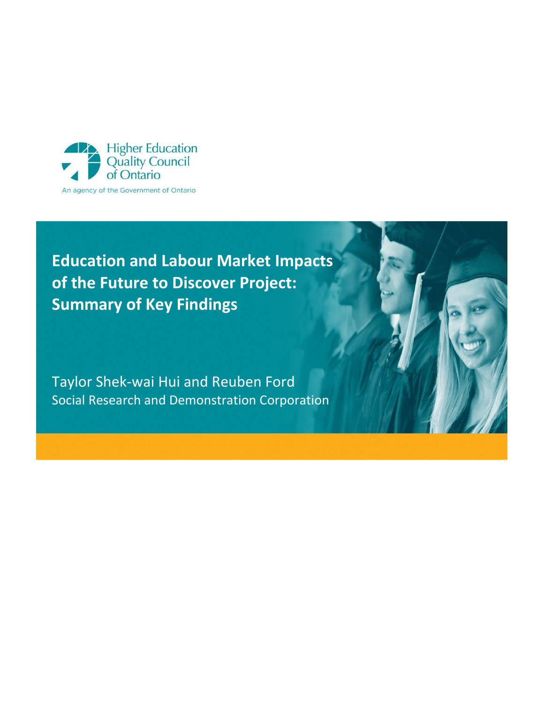

# **Education and Labour Market Impacts of the Future to Discover Project: Summary of Key Findings**

Taylor Shek-wai Hui and Reuben Ford Social Research and Demonstration Corporation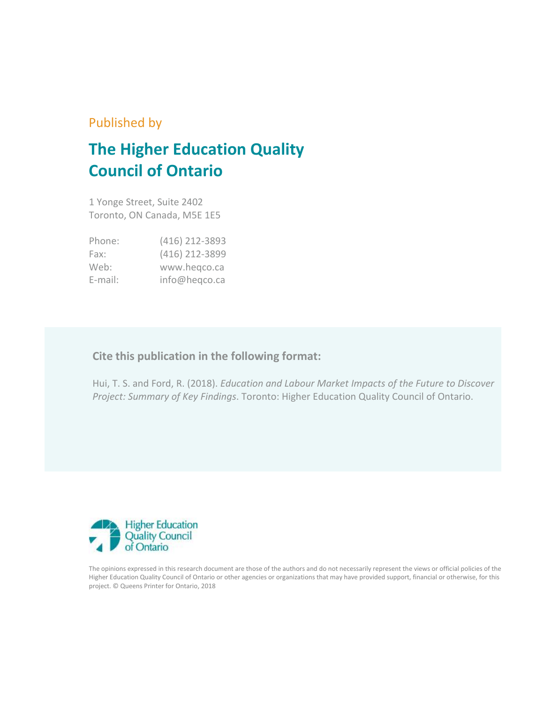## Published by

# **The Higher Education Quality Council of Ontario**

1 Yonge Street, Suite 2402 Toronto, ON Canada, M5E 1E5

| Phone:     | (416) 212-3893 |
|------------|----------------|
| Fax:       | (416) 212-3899 |
| Web:       | www.hegco.ca   |
| $E$ -mail: | info@heqco.ca  |

### **Cite this publication in the following format:**

Hui, T. S. and Ford, R. (2018). *Education and Labour Market Impacts of the Future to Discover Project: Summary of Key Findings*. Toronto: Higher Education Quality Council of Ontario.



The opinions expressed in this research document are those of the authors and do not necessarily represent the views or official policies of the Higher Education Quality Council of Ontario or other agencies or organizations that may have provided support, financial or otherwise, for this project. © Queens Printer for Ontario, 2018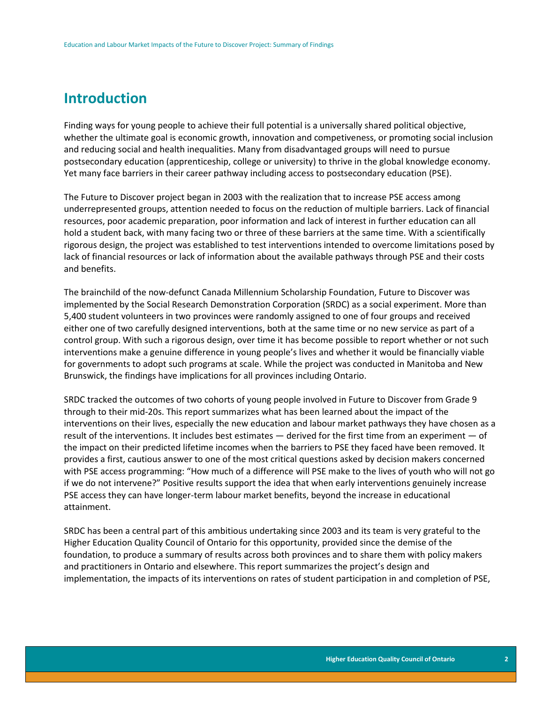### **Introduction**

Finding ways for young people to achieve their full potential is a universally shared political objective, whether the ultimate goal is economic growth, innovation and competiveness, or promoting social inclusion and reducing social and health inequalities. Many from disadvantaged groups will need to pursue postsecondary education (apprenticeship, college or university) to thrive in the global knowledge economy. Yet many face barriers in their career pathway including access to postsecondary education (PSE).

The Future to Discover project began in 2003 with the realization that to increase PSE access among underrepresented groups, attention needed to focus on the reduction of multiple barriers. Lack of financial resources, poor academic preparation, poor information and lack of interest in further education can all hold a student back, with many facing two or three of these barriers at the same time. With a scientifically rigorous design, the project was established to test interventions intended to overcome limitations posed by lack of financial resources or lack of information about the available pathways through PSE and their costs and benefits.

The brainchild of the now-defunct Canada Millennium Scholarship Foundation, Future to Discover was implemented by the Social Research Demonstration Corporation (SRDC) as a social experiment. More than 5,400 student volunteers in two provinces were randomly assigned to one of four groups and received either one of two carefully designed interventions, both at the same time or no new service as part of a control group. With such a rigorous design, over time it has become possible to report whether or not such interventions make a genuine difference in young people's lives and whether it would be financially viable for governments to adopt such programs at scale. While the project was conducted in Manitoba and New Brunswick, the findings have implications for all provinces including Ontario.

SRDC tracked the outcomes of two cohorts of young people involved in Future to Discover from Grade 9 through to their mid-20s. This report summarizes what has been learned about the impact of the interventions on their lives, especially the new education and labour market pathways they have chosen as a result of the interventions. It includes best estimates — derived for the first time from an experiment — of the impact on their predicted lifetime incomes when the barriers to PSE they faced have been removed. It provides a first, cautious answer to one of the most critical questions asked by decision makers concerned with PSE access programming: "How much of a difference will PSE make to the lives of youth who will not go if we do not intervene?" Positive results support the idea that when early interventions genuinely increase PSE access they can have longer-term labour market benefits, beyond the increase in educational attainment.

SRDC has been a central part of this ambitious undertaking since 2003 and its team is very grateful to the Higher Education Quality Council of Ontario for this opportunity, provided since the demise of the foundation, to produce a summary of results across both provinces and to share them with policy makers and practitioners in Ontario and elsewhere. This report summarizes the project's design and implementation, the impacts of its interventions on rates of student participation in and completion of PSE,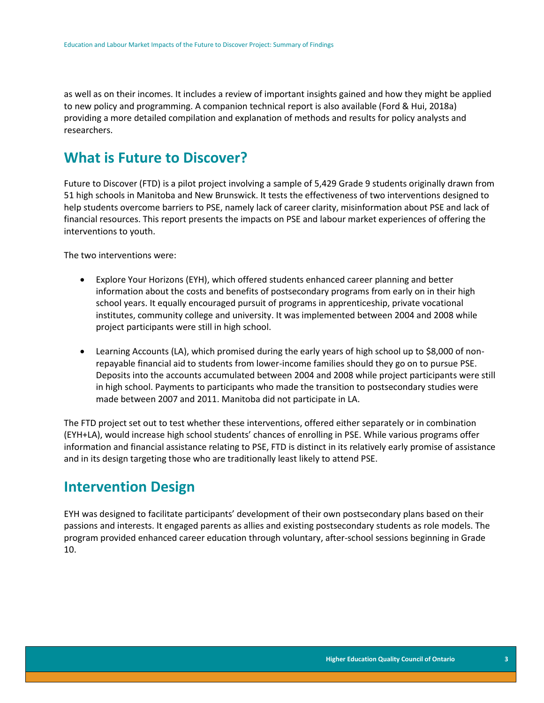as well as on their incomes. It includes a review of important insights gained and how they might be applied to new policy and programming. A companion technical report is also available (Ford & Hui, 2018a) providing a more detailed compilation and explanation of methods and results for policy analysts and researchers.

### **What is Future to Discover?**

Future to Discover (FTD) is a pilot project involving a sample of 5,429 Grade 9 students originally drawn from 51 high schools in Manitoba and New Brunswick. It tests the effectiveness of two interventions designed to help students overcome barriers to PSE, namely lack of career clarity, misinformation about PSE and lack of financial resources. This report presents the impacts on PSE and labour market experiences of offering the interventions to youth.

The two interventions were:

- Explore Your Horizons (EYH), which offered students enhanced career planning and better information about the costs and benefits of postsecondary programs from early on in their high school years. It equally encouraged pursuit of programs in apprenticeship, private vocational institutes, community college and university. It was implemented between 2004 and 2008 while project participants were still in high school.
- Learning Accounts (LA), which promised during the early years of high school up to \$8,000 of nonrepayable financial aid to students from lower-income families should they go on to pursue PSE. Deposits into the accounts accumulated between 2004 and 2008 while project participants were still in high school. Payments to participants who made the transition to postsecondary studies were made between 2007 and 2011. Manitoba did not participate in LA.

The FTD project set out to test whether these interventions, offered either separately or in combination (EYH+LA), would increase high school students' chances of enrolling in PSE. While various programs offer information and financial assistance relating to PSE, FTD is distinct in its relatively early promise of assistance and in its design targeting those who are traditionally least likely to attend PSE.

### **Intervention Design**

EYH was designed to facilitate participants' development of their own postsecondary plans based on their passions and interests. It engaged parents as allies and existing postsecondary students as role models. The program provided enhanced career education through voluntary, after-school sessions beginning in Grade 10.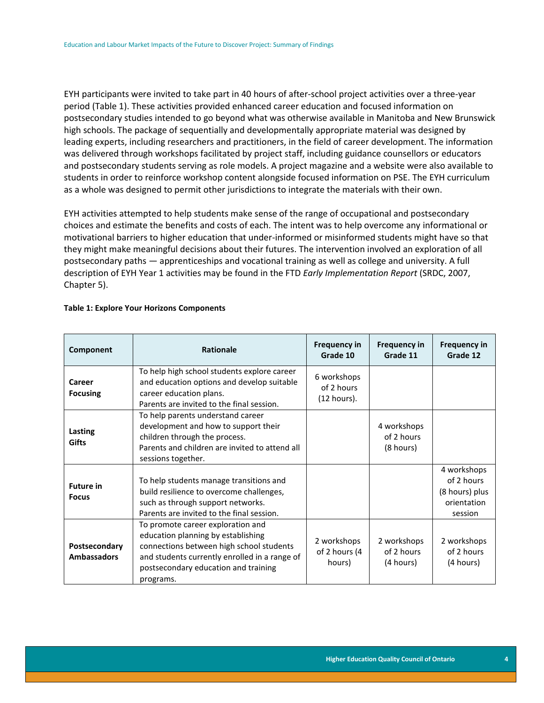EYH participants were invited to take part in 40 hours of after-school project activities over a three-year period (Table 1). These activities provided enhanced career education and focused information on postsecondary studies intended to go beyond what was otherwise available in Manitoba and New Brunswick high schools. The package of sequentially and developmentally appropriate material was designed by leading experts, including researchers and practitioners, in the field of career development. The information was delivered through workshops facilitated by project staff, including guidance counsellors or educators and postsecondary students serving as role models. A project magazine and a website were also available to students in order to reinforce workshop content alongside focused information on PSE. The EYH curriculum as a whole was designed to permit other jurisdictions to integrate the materials with their own.

EYH activities attempted to help students make sense of the range of occupational and postsecondary choices and estimate the benefits and costs of each. The intent was to help overcome any informational or motivational barriers to higher education that under-informed or misinformed students might have so that they might make meaningful decisions about their futures. The intervention involved an exploration of all postsecondary paths — apprenticeships and vocational training as well as college and university. A full description of EYH Year 1 activities may be found in the FTD *Early Implementation Report* (SRDC, 2007, Chapter 5).

| Component                           | <b>Rationale</b>                                                                                                                                                                                                          | <b>Frequency in</b><br>Grade 10          | <b>Frequency in</b><br>Grade 11        | <b>Frequency in</b><br>Grade 12                                       |
|-------------------------------------|---------------------------------------------------------------------------------------------------------------------------------------------------------------------------------------------------------------------------|------------------------------------------|----------------------------------------|-----------------------------------------------------------------------|
| Career<br><b>Focusing</b>           | To help high school students explore career<br>and education options and develop suitable<br>career education plans.<br>Parents are invited to the final session.                                                         | 6 workshops<br>of 2 hours<br>(12 hours). |                                        |                                                                       |
| Lasting<br><b>Gifts</b>             | To help parents understand career<br>development and how to support their<br>children through the process.<br>Parents and children are invited to attend all<br>sessions together.                                        |                                          | 4 workshops<br>of 2 hours<br>(8 hours) |                                                                       |
| <b>Future in</b><br><b>Focus</b>    | To help students manage transitions and<br>build resilience to overcome challenges,<br>such as through support networks.<br>Parents are invited to the final session.                                                     |                                          |                                        | 4 workshops<br>of 2 hours<br>(8 hours) plus<br>orientation<br>session |
| Postsecondary<br><b>Ambassadors</b> | To promote career exploration and<br>education planning by establishing<br>connections between high school students<br>and students currently enrolled in a range of<br>postsecondary education and training<br>programs. | 2 workshops<br>of 2 hours (4<br>hours)   | 2 workshops<br>of 2 hours<br>(4 hours) | 2 workshops<br>of 2 hours<br>(4 hours)                                |

#### **Table 1: Explore Your Horizons Components**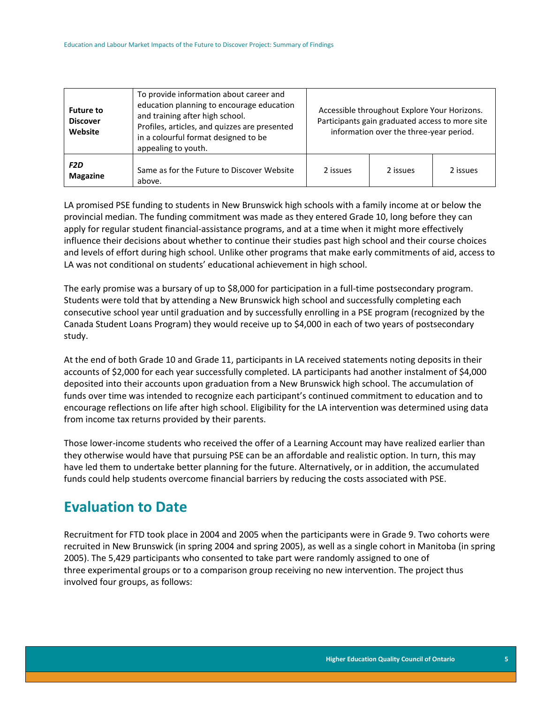| <b>Future to</b><br><b>Discover</b><br>Website | To provide information about career and<br>education planning to encourage education<br>and training after high school.<br>Profiles, articles, and quizzes are presented<br>in a colourful format designed to be<br>appealing to youth. | Accessible throughout Explore Your Horizons.<br>Participants gain graduated access to more site<br>information over the three-year period. |          |          |  |  |
|------------------------------------------------|-----------------------------------------------------------------------------------------------------------------------------------------------------------------------------------------------------------------------------------------|--------------------------------------------------------------------------------------------------------------------------------------------|----------|----------|--|--|
| F2D<br><b>Magazine</b>                         | Same as for the Future to Discover Website<br>above.                                                                                                                                                                                    | 2 issues                                                                                                                                   | 2 issues | 2 issues |  |  |

LA promised PSE funding to students in New Brunswick high schools with a family income at or below the provincial median. The funding commitment was made as they entered Grade 10, long before they can apply for regular student financial-assistance programs, and at a time when it might more effectively influence their decisions about whether to continue their studies past high school and their course choices and levels of effort during high school. Unlike other programs that make early commitments of aid, access to LA was not conditional on students' educational achievement in high school.

The early promise was a bursary of up to \$8,000 for participation in a full-time postsecondary program. Students were told that by attending a New Brunswick high school and successfully completing each consecutive school year until graduation and by successfully enrolling in a PSE program (recognized by the Canada Student Loans Program) they would receive up to \$4,000 in each of two years of postsecondary study.

At the end of both Grade 10 and Grade 11, participants in LA received statements noting deposits in their accounts of \$2,000 for each year successfully completed. LA participants had another instalment of \$4,000 deposited into their accounts upon graduation from a New Brunswick high school. The accumulation of funds over time was intended to recognize each participant's continued commitment to education and to encourage reflections on life after high school. Eligibility for the LA intervention was determined using data from income tax returns provided by their parents.

Those lower-income students who received the offer of a Learning Account may have realized earlier than they otherwise would have that pursuing PSE can be an affordable and realistic option. In turn, this may have led them to undertake better planning for the future. Alternatively, or in addition, the accumulated funds could help students overcome financial barriers by reducing the costs associated with PSE.

# **Evaluation to Date**

Recruitment for FTD took place in 2004 and 2005 when the participants were in Grade 9. Two cohorts were recruited in New Brunswick (in spring 2004 and spring 2005), as well as a single cohort in Manitoba (in spring 2005). The 5,429 participants who consented to take part were randomly assigned to one of three experimental groups or to a comparison group receiving no new intervention. The project thus involved four groups, as follows: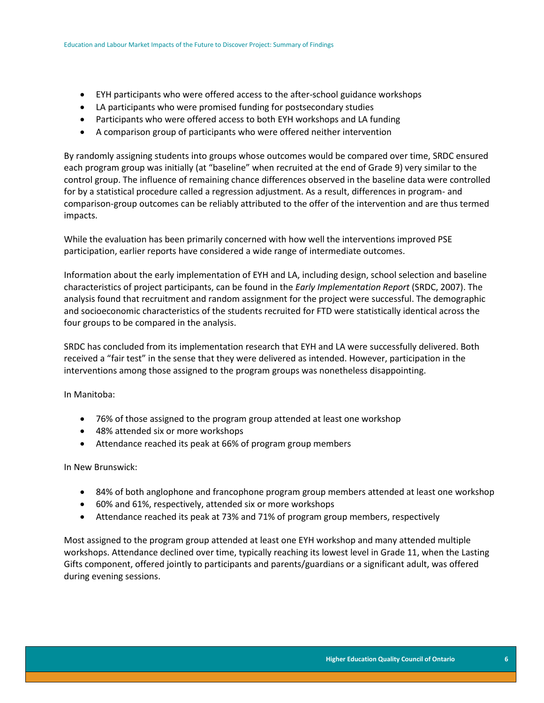- EYH participants who were offered access to the after-school guidance workshops
- LA participants who were promised funding for postsecondary studies
- Participants who were offered access to both EYH workshops and LA funding
- A comparison group of participants who were offered neither intervention

By randomly assigning students into groups whose outcomes would be compared over time, SRDC ensured each program group was initially (at "baseline" when recruited at the end of Grade 9) very similar to the control group. The influence of remaining chance differences observed in the baseline data were controlled for by a statistical procedure called a regression adjustment. As a result, differences in program- and comparison-group outcomes can be reliably attributed to the offer of the intervention and are thus termed impacts.

While the evaluation has been primarily concerned with how well the interventions improved PSE participation, earlier reports have considered a wide range of intermediate outcomes.

Information about the early implementation of EYH and LA, including design, school selection and baseline characteristics of project participants, can be found in the *Early Implementation Report* (SRDC, 2007). The analysis found that recruitment and random assignment for the project were successful. The demographic and socioeconomic characteristics of the students recruited for FTD were statistically identical across the four groups to be compared in the analysis.

SRDC has concluded from its implementation research that EYH and LA were successfully delivered. Both received a "fair test" in the sense that they were delivered as intended. However, participation in the interventions among those assigned to the program groups was nonetheless disappointing.

In Manitoba:

- 76% of those assigned to the program group attended at least one workshop
- 48% attended six or more workshops
- Attendance reached its peak at 66% of program group members

In New Brunswick:

- 84% of both anglophone and francophone program group members attended at least one workshop
- 60% and 61%, respectively, attended six or more workshops
- Attendance reached its peak at 73% and 71% of program group members, respectively

Most assigned to the program group attended at least one EYH workshop and many attended multiple workshops. Attendance declined over time, typically reaching its lowest level in Grade 11, when the Lasting Gifts component, offered jointly to participants and parents/guardians or a significant adult, was offered during evening sessions.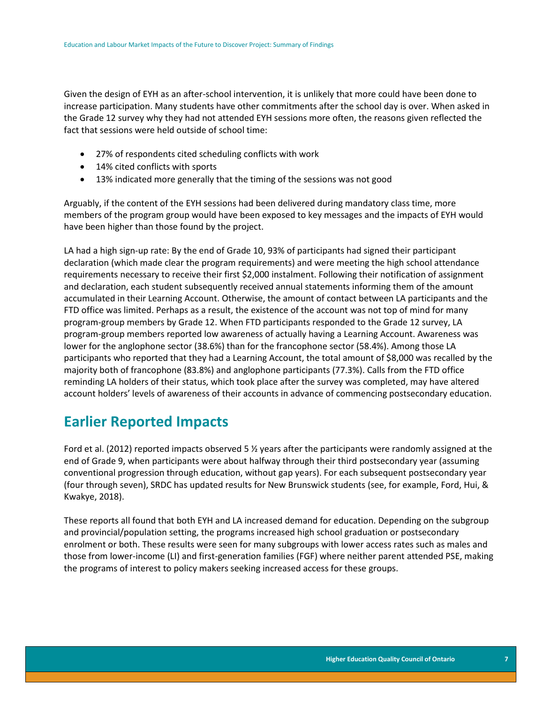Given the design of EYH as an after-school intervention, it is unlikely that more could have been done to increase participation. Many students have other commitments after the school day is over. When asked in the Grade 12 survey why they had not attended EYH sessions more often, the reasons given reflected the fact that sessions were held outside of school time:

- 27% of respondents cited scheduling conflicts with work
- 14% cited conflicts with sports
- 13% indicated more generally that the timing of the sessions was not good

Arguably, if the content of the EYH sessions had been delivered during mandatory class time, more members of the program group would have been exposed to key messages and the impacts of EYH would have been higher than those found by the project.

LA had a high sign-up rate: By the end of Grade 10, 93% of participants had signed their participant declaration (which made clear the program requirements) and were meeting the high school attendance requirements necessary to receive their first \$2,000 instalment. Following their notification of assignment and declaration, each student subsequently received annual statements informing them of the amount accumulated in their Learning Account. Otherwise, the amount of contact between LA participants and the FTD office was limited. Perhaps as a result, the existence of the account was not top of mind for many program-group members by Grade 12. When FTD participants responded to the Grade 12 survey, LA program-group members reported low awareness of actually having a Learning Account. Awareness was lower for the anglophone sector (38.6%) than for the francophone sector (58.4%). Among those LA participants who reported that they had a Learning Account, the total amount of \$8,000 was recalled by the majority both of francophone (83.8%) and anglophone participants (77.3%). Calls from the FTD office reminding LA holders of their status, which took place after the survey was completed, may have altered account holders' levels of awareness of their accounts in advance of commencing postsecondary education.

### **Earlier Reported Impacts**

Ford et al. (2012) reported impacts observed 5  $\frac{1}{2}$  years after the participants were randomly assigned at the end of Grade 9, when participants were about halfway through their third postsecondary year (assuming conventional progression through education, without gap years). For each subsequent postsecondary year (four through seven), SRDC has updated results for New Brunswick students (see, for example, Ford, Hui, & Kwakye, 2018).

These reports all found that both EYH and LA increased demand for education. Depending on the subgroup and provincial/population setting, the programs increased high school graduation or postsecondary enrolment or both. These results were seen for many subgroups with lower access rates such as males and those from lower-income (LI) and first-generation families (FGF) where neither parent attended PSE, making the programs of interest to policy makers seeking increased access for these groups.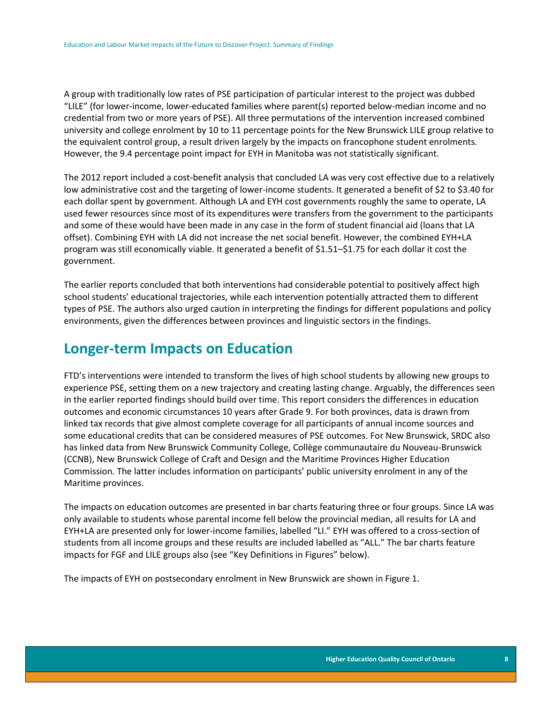A group with traditionally low rates of PSE participation of particular interest to the project was dubbed "LILE" (for lower-income, lower-educated families where parent(s) reported below-median income and no credential from two or more years of PSE). All three permutations of the intervention increased combined university and college enrolment by 10 to 11 percentage points for the New Brunswick LILE group relative to the equivalent control group, a result driven largely by the impacts on francophone student enrolments. However, the 9.4 percentage point impact for EYH in Manitoba was not statistically significant.

The 2012 report included a cost-benefit analysis that concluded LA was very cost effective due to a relatively low administrative cost and the targeting of lower-income students. It generated a benefit of \$2 to \$3.40 for each dollar spent by government. Although LA and EYH cost governments roughly the same to operate, LA used fewer resources since most of its expenditures were transfers from the government to the participants and some of these would have been made in any case in the form of student financial aid (loans that LA offset). Combining EYH with LA did not increase the net social benefit. However, the combined EYH+LA program was still economically viable. It generated a benefit of \$1.51–\$1.75 for each dollar it cost the government.

The earlier reports concluded that both interventions had considerable potential to positively affect high school students' educational trajectories, while each intervention potentially attracted them to different types of PSE. The authors also urged caution in interpreting the findings for different populations and policy environments, given the differences between provinces and linguistic sectors in the findings.

### **Longer-term Impacts on Education**

FTD's interventions were intended to transform the lives of high school students by allowing new groups to experience PSE, setting them on a new trajectory and creating lasting change. Arguably, the differences seen in the earlier reported findings should build over time. This report considers the differences in education outcomes and economic circumstances 10 years after Grade 9. For both provinces, data is drawn from linked tax records that give almost complete coverage for all participants of annual income sources and some educational credits that can be considered measures of PSE outcomes. For New Brunswick, SRDC also has linked data from New Brunswick Community College, Collège communautaire du Nouveau-Brunswick (CCNB), New Brunswick College of Craft and Design and the Maritime Provinces Higher Education Commission. The latter includes information on participants' public university enrolment in any of the Maritime provinces.

The impacts on education outcomes are presented in bar charts featuring three or four groups. Since LA was only available to students whose parental income fell below the provincial median, all results for LA and EYH+LA are presented only for lower-income families, labelled "LI." EYH was offered to a cross-section of students from all income groups and these results are included labelled as "ALL." The bar charts feature impacts for FGF and LILE groups also (see "Key Definitions in Figures" below).

The impacts of EYH on postsecondary enrolment in New Brunswick are shown in Figure 1.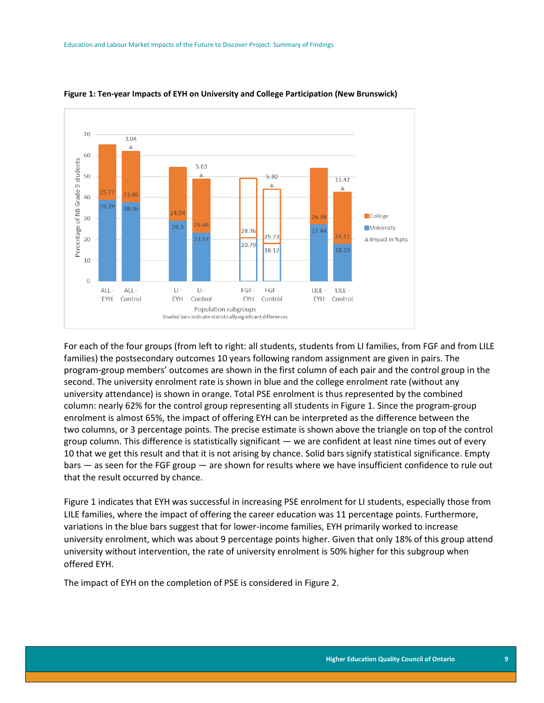

#### **Figure 1: Ten-year Impacts of EYH on University and College Participation (New Brunswick)**

For each of the four groups (from left to right: all students, students from LI families, from FGF and from LILE families) the postsecondary outcomes 10 years following random assignment are given in pairs. The program-group members' outcomes are shown in the first column of each pair and the control group in the second. The university enrolment rate is shown in blue and the college enrolment rate (without any university attendance) is shown in orange. Total PSE enrolment is thus represented by the combined column: nearly 62% for the control group representing all students in Figure 1. Since the program-group enrolment is almost 65%, the impact of offering EYH can be interpreted as the difference between the two columns, or 3 percentage points. The precise estimate is shown above the triangle on top of the control group column. This difference is statistically significant — we are confident at least nine times out of every 10 that we get this result and that it is not arising by chance. Solid bars signify statistical significance. Empty bars — as seen for the FGF group — are shown for results where we have insufficient confidence to rule out that the result occurred by chance.

Figure 1 indicates that EYH was successful in increasing PSE enrolment for LI students, especially those from LILE families, where the impact of offering the career education was 11 percentage points. Furthermore, variations in the blue bars suggest that for lower-income families, EYH primarily worked to increase university enrolment, which was about 9 percentage points higher. Given that only 18% of this group attend university without intervention, the rate of university enrolment is 50% higher for this subgroup when offered EYH.

The impact of EYH on the completion of PSE is considered in Figure 2.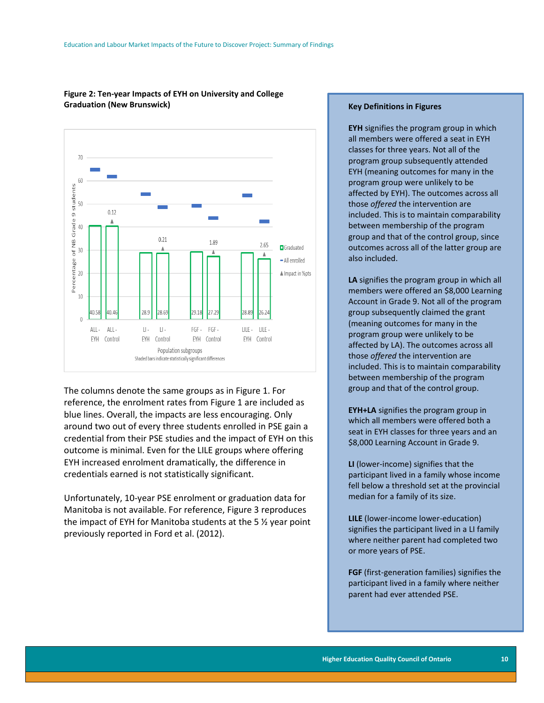

#### **Figure 2: Ten-year Impacts of EYH on University and College Graduation (New Brunswick)**

The columns denote the same groups as in Figure 1. For reference, the enrolment rates from Figure 1 are included as blue lines. Overall, the impacts are less encouraging. Only around two out of every three students enrolled in PSE gain a credential from their PSE studies and the impact of EYH on this outcome is minimal. Even for the LILE groups where offering EYH increased enrolment dramatically, the difference in credentials earned is not statistically significant.

Unfortunately, 10-year PSE enrolment or graduation data for Manitoba is not available. For reference, Figure 3 reproduces the impact of EYH for Manitoba students at the 5 ½ year point previously reported in Ford et al. (2012).

#### **Key Definitions in Figures**

**EYH** signifies the program group in which all members were offered a seat in EYH classes for three years. Not all of the program group subsequently attended EYH (meaning outcomes for many in the program group were unlikely to be affected by EYH). The outcomes across all those *offered* the intervention are included. This is to maintain comparability between membership of the program group and that of the control group, since outcomes across all of the latter group are also included.

**LA** signifies the program group in which all members were offered an \$8,000 Learning Account in Grade 9. Not all of the program group subsequently claimed the grant (meaning outcomes for many in the program group were unlikely to be affected by LA). The outcomes across all those *offered* the intervention are included. This is to maintain comparability between membership of the program group and that of the control group.

**EYH+LA** signifies the program group in which all members were offered both a seat in EYH classes for three years and an \$8,000 Learning Account in Grade 9.

**LI** (lower-income) signifies that the participant lived in a family whose income fell below a threshold set at the provincial median for a family of its size.

**LILE** (lower-income lower-education) signifies the participant lived in a LI family where neither parent had completed two or more years of PSE.

**FGF** (first-generation families) signifies the participant lived in a family where neither parent had ever attended PSE.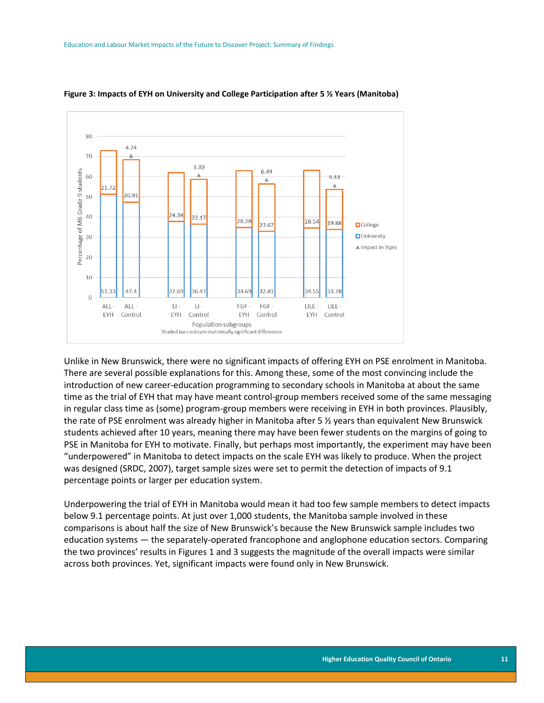

#### **Figure 3: Impacts of EYH on University and College Participation after 5 ½ Years (Manitoba)**

Unlike in New Brunswick, there were no significant impacts of offering EYH on PSE enrolment in Manitoba. There are several possible explanations for this. Among these, some of the most convincing include the introduction of new career-education programming to secondary schools in Manitoba at about the same time as the trial of EYH that may have meant control-group members received some of the same messaging in regular class time as (some) program-group members were receiving in EYH in both provinces. Plausibly, the rate of PSE enrolment was already higher in Manitoba after 5 ½ years than equivalent New Brunswick students achieved after 10 years, meaning there may have been fewer students on the margins of going to PSE in Manitoba for EYH to motivate. Finally, but perhaps most importantly, the experiment may have been "underpowered" in Manitoba to detect impacts on the scale EYH was likely to produce. When the project was designed (SRDC, 2007), target sample sizes were set to permit the detection of impacts of 9.1 percentage points or larger per education system.

Underpowering the trial of EYH in Manitoba would mean it had too few sample members to detect impacts below 9.1 percentage points. At just over 1,000 students, the Manitoba sample involved in these comparisons is about half the size of New Brunswick's because the New Brunswick sample includes two education systems — the separately-operated francophone and anglophone education sectors. Comparing the two provinces' results in Figures 1 and 3 suggests the magnitude of the overall impacts were similar across both provinces. Yet, significant impacts were found only in New Brunswick.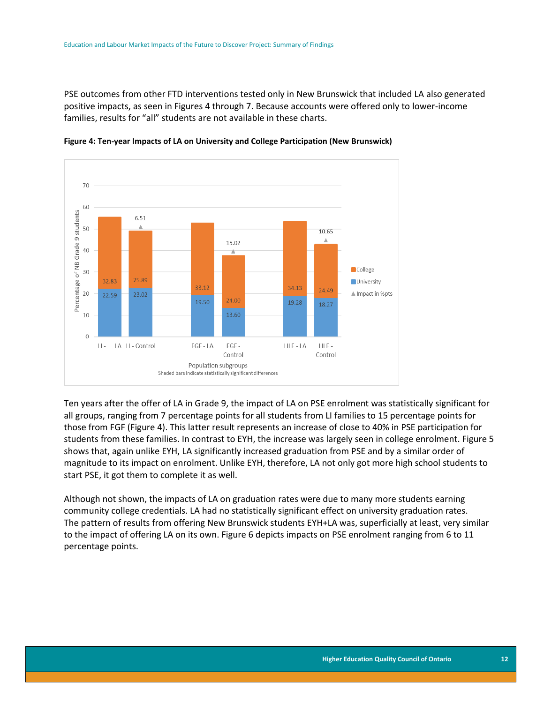PSE outcomes from other FTD interventions tested only in New Brunswick that included LA also generated positive impacts, as seen in Figures 4 through 7. Because accounts were offered only to lower-income families, results for "all" students are not available in these charts.



**Figure 4: Ten-year Impacts of LA on University and College Participation (New Brunswick)**

Ten years after the offer of LA in Grade 9, the impact of LA on PSE enrolment was statistically significant for all groups, ranging from 7 percentage points for all students from LI families to 15 percentage points for those from FGF (Figure 4). This latter result represents an increase of close to 40% in PSE participation for students from these families. In contrast to EYH, the increase was largely seen in college enrolment. Figure 5 shows that, again unlike EYH, LA significantly increased graduation from PSE and by a similar order of magnitude to its impact on enrolment. Unlike EYH, therefore, LA not only got more high school students to start PSE, it got them to complete it as well.

Although not shown, the impacts of LA on graduation rates were due to many more students earning community college credentials. LA had no statistically significant effect on university graduation rates. The pattern of results from offering New Brunswick students EYH+LA was, superficially at least, very similar to the impact of offering LA on its own. Figure 6 depicts impacts on PSE enrolment ranging from 6 to 11 percentage points.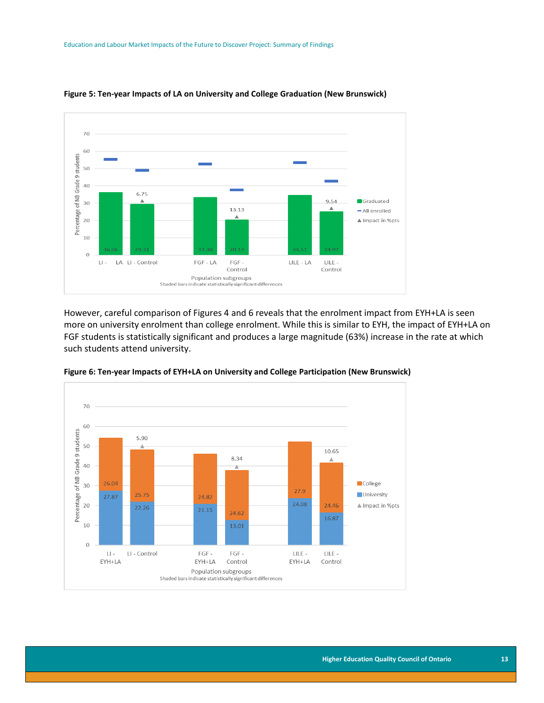

#### **Figure 5: Ten-year Impacts of LA on University and College Graduation (New Brunswick)**

However, careful comparison of Figures 4 and 6 reveals that the enrolment impact from EYH+LA is seen more on university enrolment than college enrolment. While this is similar to EYH, the impact of EYH+LA on FGF students is statistically significant and produces a large magnitude (63%) increase in the rate at which such students attend university.



**Figure 6: Ten-year Impacts of EYH+LA on University and College Participation (New Brunswick)**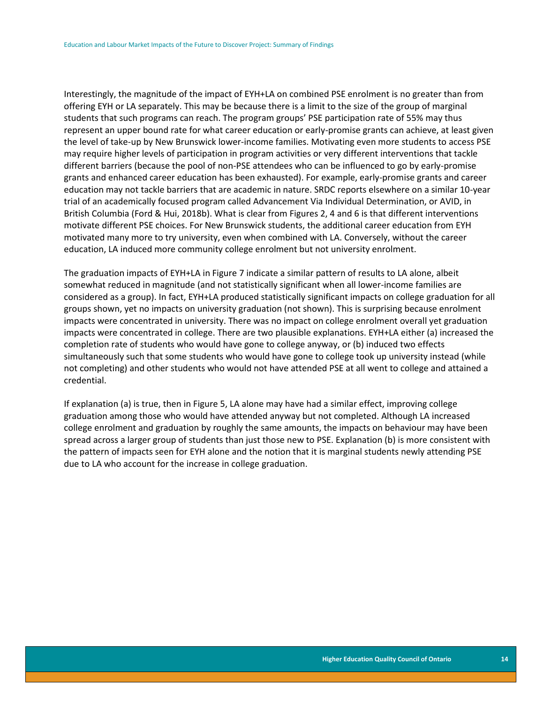Interestingly, the magnitude of the impact of EYH+LA on combined PSE enrolment is no greater than from offering EYH or LA separately. This may be because there is a limit to the size of the group of marginal students that such programs can reach. The program groups' PSE participation rate of 55% may thus represent an upper bound rate for what career education or early-promise grants can achieve, at least given the level of take-up by New Brunswick lower-income families. Motivating even more students to access PSE may require higher levels of participation in program activities or very different interventions that tackle different barriers (because the pool of non-PSE attendees who can be influenced to go by early-promise grants and enhanced career education has been exhausted). For example, early-promise grants and career education may not tackle barriers that are academic in nature. SRDC reports elsewhere on a similar 10-year trial of an academically focused program called Advancement Via Individual Determination, or AVID, in British Columbia (Ford & Hui, 2018b). What is clear from Figures 2, 4 and 6 is that different interventions motivate different PSE choices. For New Brunswick students, the additional career education from EYH motivated many more to try university, even when combined with LA. Conversely, without the career education, LA induced more community college enrolment but not university enrolment.

The graduation impacts of EYH+LA in Figure 7 indicate a similar pattern of results to LA alone, albeit somewhat reduced in magnitude (and not statistically significant when all lower-income families are considered as a group). In fact, EYH+LA produced statistically significant impacts on college graduation for all groups shown, yet no impacts on university graduation (not shown). This is surprising because enrolment impacts were concentrated in university. There was no impact on college enrolment overall yet graduation impacts were concentrated in college. There are two plausible explanations. EYH+LA either (a) increased the completion rate of students who would have gone to college anyway, or (b) induced two effects simultaneously such that some students who would have gone to college took up university instead (while not completing) and other students who would not have attended PSE at all went to college and attained a credential.

If explanation (a) is true, then in Figure 5, LA alone may have had a similar effect, improving college graduation among those who would have attended anyway but not completed. Although LA increased college enrolment and graduation by roughly the same amounts, the impacts on behaviour may have been spread across a larger group of students than just those new to PSE. Explanation (b) is more consistent with the pattern of impacts seen for EYH alone and the notion that it is marginal students newly attending PSE due to LA who account for the increase in college graduation.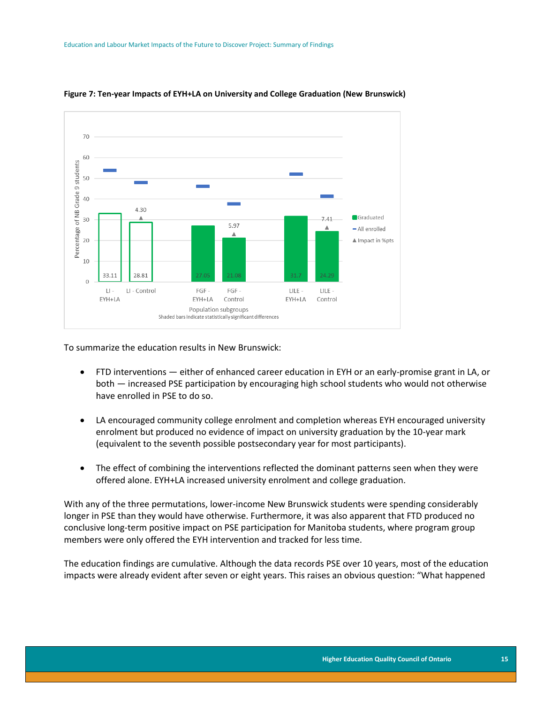

**Figure 7: Ten-year Impacts of EYH+LA on University and College Graduation (New Brunswick)**

To summarize the education results in New Brunswick:

- FTD interventions either of enhanced career education in EYH or an early-promise grant in LA, or both — increased PSE participation by encouraging high school students who would not otherwise have enrolled in PSE to do so.
- LA encouraged community college enrolment and completion whereas EYH encouraged university enrolment but produced no evidence of impact on university graduation by the 10-year mark (equivalent to the seventh possible postsecondary year for most participants).
- The effect of combining the interventions reflected the dominant patterns seen when they were offered alone. EYH+LA increased university enrolment and college graduation.

With any of the three permutations, lower-income New Brunswick students were spending considerably longer in PSE than they would have otherwise. Furthermore, it was also apparent that FTD produced no conclusive long-term positive impact on PSE participation for Manitoba students, where program group members were only offered the EYH intervention and tracked for less time.

The education findings are cumulative. Although the data records PSE over 10 years, most of the education impacts were already evident after seven or eight years. This raises an obvious question: "What happened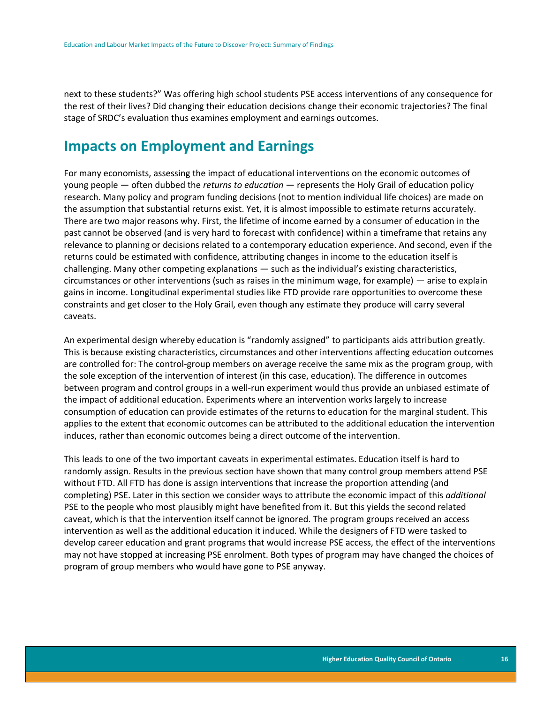next to these students?" Was offering high school students PSE access interventions of any consequence for the rest of their lives? Did changing their education decisions change their economic trajectories? The final stage of SRDC's evaluation thus examines employment and earnings outcomes.

### **Impacts on Employment and Earnings**

For many economists, assessing the impact of educational interventions on the economic outcomes of young people — often dubbed the *returns to education* — represents the Holy Grail of education policy research. Many policy and program funding decisions (not to mention individual life choices) are made on the assumption that substantial returns exist. Yet, it is almost impossible to estimate returns accurately. There are two major reasons why. First, the lifetime of income earned by a consumer of education in the past cannot be observed (and is very hard to forecast with confidence) within a timeframe that retains any relevance to planning or decisions related to a contemporary education experience. And second, even if the returns could be estimated with confidence, attributing changes in income to the education itself is challenging. Many other competing explanations — such as the individual's existing characteristics, circumstances or other interventions (such as raises in the minimum wage, for example) — arise to explain gains in income. Longitudinal experimental studies like FTD provide rare opportunities to overcome these constraints and get closer to the Holy Grail, even though any estimate they produce will carry several caveats.

An experimental design whereby education is "randomly assigned" to participants aids attribution greatly. This is because existing characteristics, circumstances and other interventions affecting education outcomes are controlled for: The control-group members on average receive the same mix as the program group, with the sole exception of the intervention of interest (in this case, education). The difference in outcomes between program and control groups in a well-run experiment would thus provide an unbiased estimate of the impact of additional education. Experiments where an intervention works largely to increase consumption of education can provide estimates of the returns to education for the marginal student. This applies to the extent that economic outcomes can be attributed to the additional education the intervention induces, rather than economic outcomes being a direct outcome of the intervention.

This leads to one of the two important caveats in experimental estimates. Education itself is hard to randomly assign. Results in the previous section have shown that many control group members attend PSE without FTD. All FTD has done is assign interventions that increase the proportion attending (and completing) PSE. Later in this section we consider ways to attribute the economic impact of this *additional*  PSE to the people who most plausibly might have benefited from it. But this yields the second related caveat, which is that the intervention itself cannot be ignored. The program groups received an access intervention as well as the additional education it induced. While the designers of FTD were tasked to develop career education and grant programs that would increase PSE access, the effect of the interventions may not have stopped at increasing PSE enrolment. Both types of program may have changed the choices of program of group members who would have gone to PSE anyway.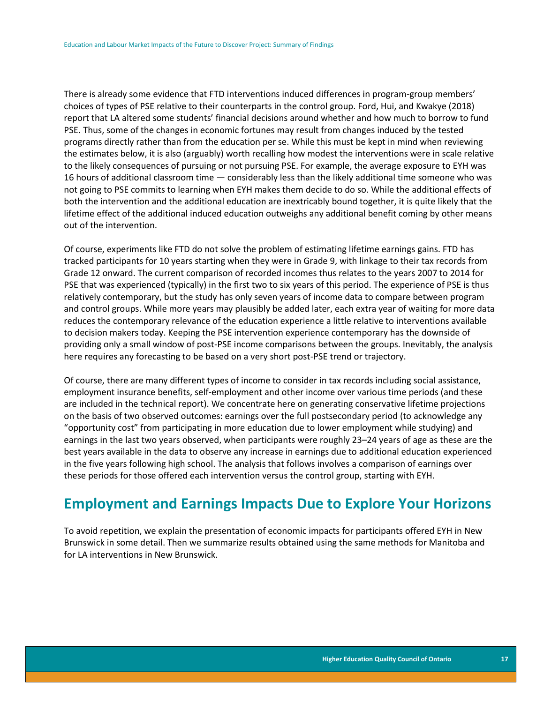There is already some evidence that FTD interventions induced differences in program-group members' choices of types of PSE relative to their counterparts in the control group. Ford, Hui, and Kwakye (2018) report that LA altered some students' financial decisions around whether and how much to borrow to fund PSE. Thus, some of the changes in economic fortunes may result from changes induced by the tested programs directly rather than from the education per se. While this must be kept in mind when reviewing the estimates below, it is also (arguably) worth recalling how modest the interventions were in scale relative to the likely consequences of pursuing or not pursuing PSE. For example, the average exposure to EYH was 16 hours of additional classroom time — considerably less than the likely additional time someone who was not going to PSE commits to learning when EYH makes them decide to do so. While the additional effects of both the intervention and the additional education are inextricably bound together, it is quite likely that the lifetime effect of the additional induced education outweighs any additional benefit coming by other means out of the intervention.

Of course, experiments like FTD do not solve the problem of estimating lifetime earnings gains. FTD has tracked participants for 10 years starting when they were in Grade 9, with linkage to their tax records from Grade 12 onward. The current comparison of recorded incomes thus relates to the years 2007 to 2014 for PSE that was experienced (typically) in the first two to six years of this period. The experience of PSE is thus relatively contemporary, but the study has only seven years of income data to compare between program and control groups. While more years may plausibly be added later, each extra year of waiting for more data reduces the contemporary relevance of the education experience a little relative to interventions available to decision makers today. Keeping the PSE intervention experience contemporary has the downside of providing only a small window of post-PSE income comparisons between the groups. Inevitably, the analysis here requires any forecasting to be based on a very short post-PSE trend or trajectory.

Of course, there are many different types of income to consider in tax records including social assistance, employment insurance benefits, self-employment and other income over various time periods (and these are included in the technical report). We concentrate here on generating conservative lifetime projections on the basis of two observed outcomes: earnings over the full postsecondary period (to acknowledge any "opportunity cost" from participating in more education due to lower employment while studying) and earnings in the last two years observed, when participants were roughly 23–24 years of age as these are the best years available in the data to observe any increase in earnings due to additional education experienced in the five years following high school. The analysis that follows involves a comparison of earnings over these periods for those offered each intervention versus the control group, starting with EYH.

### **Employment and Earnings Impacts Due to Explore Your Horizons**

To avoid repetition, we explain the presentation of economic impacts for participants offered EYH in New Brunswick in some detail. Then we summarize results obtained using the same methods for Manitoba and for LA interventions in New Brunswick.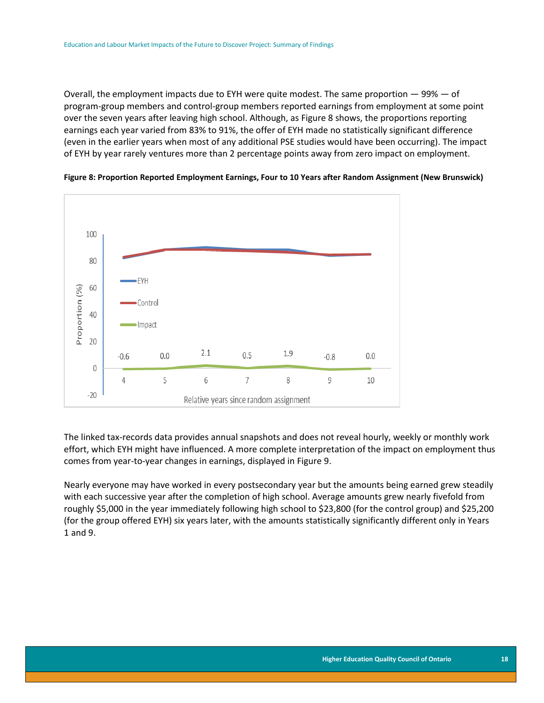Overall, the employment impacts due to EYH were quite modest. The same proportion — 99% — of program-group members and control-group members reported earnings from employment at some point over the seven years after leaving high school. Although, as Figure 8 shows, the proportions reporting earnings each year varied from 83% to 91%, the offer of EYH made no statistically significant difference (even in the earlier years when most of any additional PSE studies would have been occurring). The impact of EYH by year rarely ventures more than 2 percentage points away from zero impact on employment.





The linked tax-records data provides annual snapshots and does not reveal hourly, weekly or monthly work effort, which EYH might have influenced. A more complete interpretation of the impact on employment thus comes from year-to-year changes in earnings, displayed in Figure 9.

Nearly everyone may have worked in every postsecondary year but the amounts being earned grew steadily with each successive year after the completion of high school. Average amounts grew nearly fivefold from roughly \$5,000 in the year immediately following high school to \$23,800 (for the control group) and \$25,200 (for the group offered EYH) six years later, with the amounts statistically significantly different only in Years 1 and 9.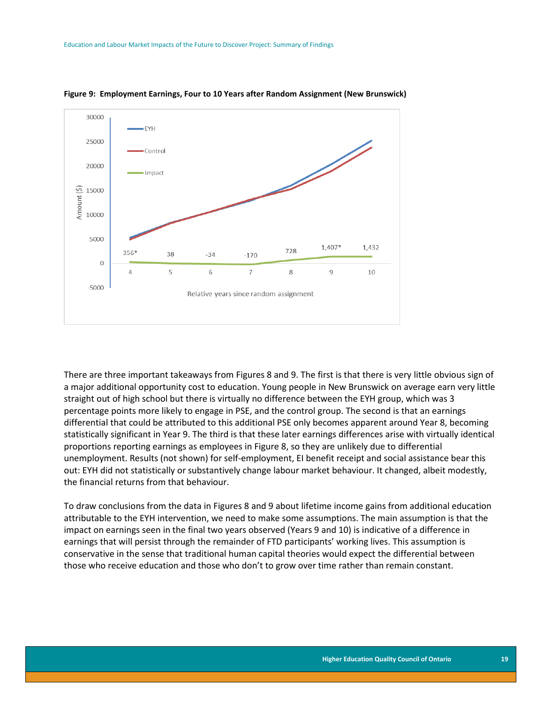

**Figure 9: Employment Earnings, Four to 10 Years after Random Assignment (New Brunswick)**

There are three important takeaways from Figures 8 and 9. The first is that there is very little obvious sign of a major additional opportunity cost to education. Young people in New Brunswick on average earn very little straight out of high school but there is virtually no difference between the EYH group, which was 3 percentage points more likely to engage in PSE, and the control group. The second is that an earnings differential that could be attributed to this additional PSE only becomes apparent around Year 8, becoming statistically significant in Year 9. The third is that these later earnings differences arise with virtually identical proportions reporting earnings as employees in Figure 8, so they are unlikely due to differential unemployment. Results (not shown) for self-employment, EI benefit receipt and social assistance bear this out: EYH did not statistically or substantively change labour market behaviour. It changed, albeit modestly, the financial returns from that behaviour.

To draw conclusions from the data in Figures 8 and 9 about lifetime income gains from additional education attributable to the EYH intervention, we need to make some assumptions. The main assumption is that the impact on earnings seen in the final two years observed (Years 9 and 10) is indicative of a difference in earnings that will persist through the remainder of FTD participants' working lives. This assumption is conservative in the sense that traditional human capital theories would expect the differential between those who receive education and those who don't to grow over time rather than remain constant.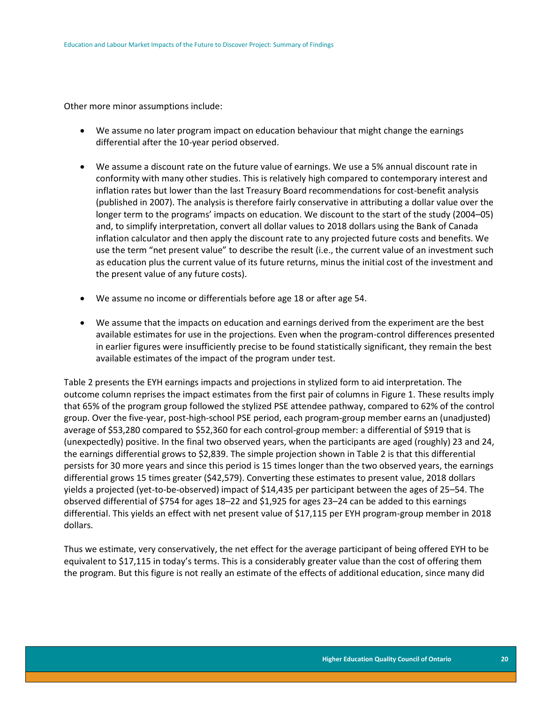Other more minor assumptions include:

- We assume no later program impact on education behaviour that might change the earnings differential after the 10-year period observed.
- We assume a discount rate on the future value of earnings. We use a 5% annual discount rate in conformity with many other studies. This is relatively high compared to contemporary interest and inflation rates but lower than the last Treasury Board recommendations for cost-benefit analysis (published in 2007). The analysis is therefore fairly conservative in attributing a dollar value over the longer term to the programs' impacts on education. We discount to the start of the study (2004–05) and, to simplify interpretation, convert all dollar values to 2018 dollars using the Bank of Canada inflation calculator and then apply the discount rate to any projected future costs and benefits. We use the term "net present value" to describe the result (i.e., the current value of an investment such as education plus the current value of its future returns, minus the initial cost of the investment and the present value of any future costs).
- We assume no income or differentials before age 18 or after age 54.
- We assume that the impacts on education and earnings derived from the experiment are the best available estimates for use in the projections. Even when the program-control differences presented in earlier figures were insufficiently precise to be found statistically significant, they remain the best available estimates of the impact of the program under test.

Table 2 presents the EYH earnings impacts and projections in stylized form to aid interpretation. The outcome column reprises the impact estimates from the first pair of columns in Figure 1. These results imply that 65% of the program group followed the stylized PSE attendee pathway, compared to 62% of the control group. Over the five-year, post-high-school PSE period, each program-group member earns an (unadjusted) average of \$53,280 compared to \$52,360 for each control-group member: a differential of \$919 that is (unexpectedly) positive. In the final two observed years, when the participants are aged (roughly) 23 and 24, the earnings differential grows to \$2,839. The simple projection shown in Table 2 is that this differential persists for 30 more years and since this period is 15 times longer than the two observed years, the earnings differential grows 15 times greater (\$42,579). Converting these estimates to present value, 2018 dollars yields a projected (yet-to-be-observed) impact of \$14,435 per participant between the ages of 25–54. The observed differential of \$754 for ages 18–22 and \$1,925 for ages 23–24 can be added to this earnings differential. This yields an effect with net present value of \$17,115 per EYH program-group member in 2018 dollars.

Thus we estimate, very conservatively, the net effect for the average participant of being offered EYH to be equivalent to \$17,115 in today's terms. This is a considerably greater value than the cost of offering them the program. But this figure is not really an estimate of the effects of additional education, since many did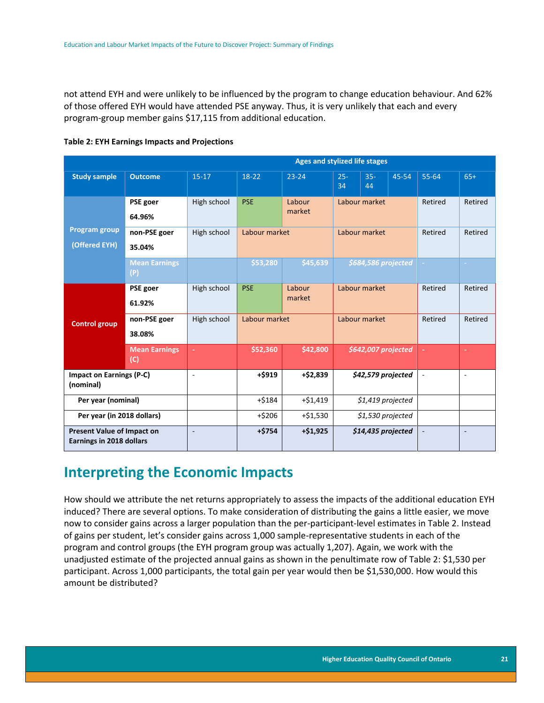not attend EYH and were unlikely to be influenced by the program to change education behaviour. And 62% of those offered EYH would have attended PSE anyway. Thus, it is very unlikely that each and every program-group member gains \$17,115 from additional education.

|                                                                      | <b>Ages and stylized life stages</b>                   |                          |               |                  |                    |                     |                     |                          |                          |
|----------------------------------------------------------------------|--------------------------------------------------------|--------------------------|---------------|------------------|--------------------|---------------------|---------------------|--------------------------|--------------------------|
| <b>Study sample</b>                                                  | <b>Outcome</b>                                         | $15-17$                  | 18-22         | $23 - 24$        | $25 -$<br>34       | $35 -$<br>44        | 45-54               | $55 - 64$                | $65+$                    |
|                                                                      | PSE goer<br>64.96%                                     | High school              | <b>PSE</b>    | Labour<br>market | Labour market      |                     | Retired             | Retired                  |                          |
| <b>Program group</b><br>(Offered EYH)                                | non-PSE goer<br>High school<br>Labour market<br>35.04% |                          | Labour market |                  | Retired            | Retired             |                     |                          |                          |
|                                                                      | <b>Mean Earnings</b><br>(P)                            |                          | \$53,280      | \$45,639         |                    |                     | \$684,586 projected |                          | $\sim$                   |
| <b>Control group</b>                                                 | PSE goer<br>61.92%                                     | High school              | <b>PSE</b>    | Labour<br>market | Labour market      |                     | Retired             | Retired                  |                          |
|                                                                      | non-PSE goer<br>38.08%                                 | High school              | Labour market |                  | Labour market      |                     | Retired             | Retired                  |                          |
|                                                                      | <b>Mean Earnings</b><br>(C)                            |                          | \$52,360      | \$42,800         |                    | \$642,007 projected |                     |                          | $\sim$                   |
| <b>Impact on Earnings (P-C)</b><br>(nominal)                         |                                                        | $\overline{\phantom{a}}$ | $+$ \$919     | $+ $2,839$       |                    | \$42,579 projected  |                     | $\overline{\phantom{a}}$ | $\sim$                   |
| Per year (nominal)                                                   |                                                        |                          | $+ $184$      | $+ $1,419$       | $$1,419$ projected |                     |                     |                          |                          |
| Per year (in 2018 dollars)                                           |                                                        |                          | $+ $206$      | $+ $1,530$       |                    | \$1,530 projected   |                     |                          |                          |
| <b>Present Value of Impact on</b><br><b>Earnings in 2018 dollars</b> |                                                        | $\overline{\phantom{a}}$ | $+ $754$      | $+ $1,925$       |                    | \$14,435 projected  |                     | $\overline{\phantom{a}}$ | $\overline{\phantom{a}}$ |

#### **Table 2: EYH Earnings Impacts and Projections**

### **Interpreting the Economic Impacts**

How should we attribute the net returns appropriately to assess the impacts of the additional education EYH induced? There are several options. To make consideration of distributing the gains a little easier, we move now to consider gains across a larger population than the per-participant-level estimates in Table 2. Instead of gains per student, let's consider gains across 1,000 sample-representative students in each of the program and control groups (the EYH program group was actually 1,207). Again, we work with the unadjusted estimate of the projected annual gains as shown in the penultimate row of Table 2: \$1,530 per participant. Across 1,000 participants, the total gain per year would then be \$1,530,000. How would this amount be distributed?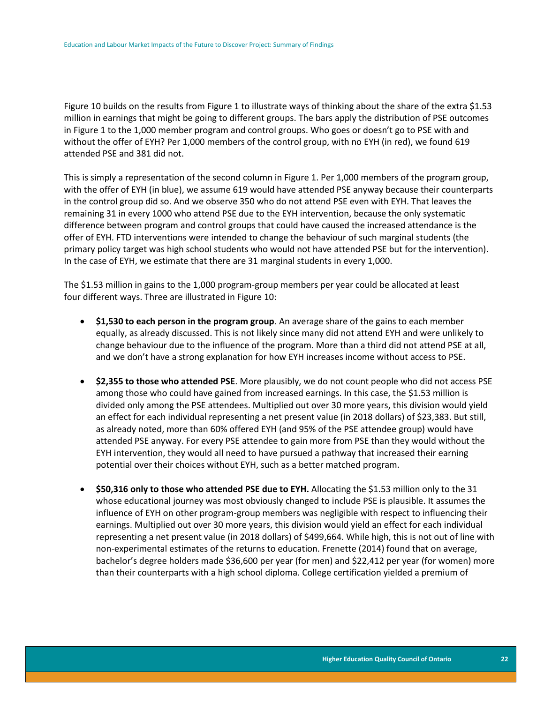Figure 10 builds on the results from Figure 1 to illustrate ways of thinking about the share of the extra \$1.53 million in earnings that might be going to different groups. The bars apply the distribution of PSE outcomes in Figure 1 to the 1,000 member program and control groups. Who goes or doesn't go to PSE with and without the offer of EYH? Per 1,000 members of the control group, with no EYH (in red), we found 619 attended PSE and 381 did not.

This is simply a representation of the second column in Figure 1. Per 1,000 members of the program group, with the offer of EYH (in blue), we assume 619 would have attended PSE anyway because their counterparts in the control group did so. And we observe 350 who do not attend PSE even with EYH. That leaves the remaining 31 in every 1000 who attend PSE due to the EYH intervention, because the only systematic difference between program and control groups that could have caused the increased attendance is the offer of EYH. FTD interventions were intended to change the behaviour of such marginal students (the primary policy target was high school students who would not have attended PSE but for the intervention). In the case of EYH, we estimate that there are 31 marginal students in every 1,000.

The \$1.53 million in gains to the 1,000 program-group members per year could be allocated at least four different ways. Three are illustrated in Figure 10:

- **\$1,530 to each person in the program group**. An average share of the gains to each member equally, as already discussed. This is not likely since many did not attend EYH and were unlikely to change behaviour due to the influence of the program. More than a third did not attend PSE at all, and we don't have a strong explanation for how EYH increases income without access to PSE.
- **\$2,355 to those who attended PSE**. More plausibly, we do not count people who did not access PSE among those who could have gained from increased earnings. In this case, the \$1.53 million is divided only among the PSE attendees. Multiplied out over 30 more years, this division would yield an effect for each individual representing a net present value (in 2018 dollars) of \$23,383. But still, as already noted, more than 60% offered EYH (and 95% of the PSE attendee group) would have attended PSE anyway. For every PSE attendee to gain more from PSE than they would without the EYH intervention, they would all need to have pursued a pathway that increased their earning potential over their choices without EYH, such as a better matched program.
- **\$50,316 only to those who attended PSE due to EYH.** Allocating the \$1.53 million only to the 31 whose educational journey was most obviously changed to include PSE is plausible. It assumes the influence of EYH on other program-group members was negligible with respect to influencing their earnings. Multiplied out over 30 more years, this division would yield an effect for each individual representing a net present value (in 2018 dollars) of \$499,664. While high, this is not out of line with non-experimental estimates of the returns to education. Frenette (2014) found that on average, bachelor's degree holders made \$36,600 per year (for men) and \$22,412 per year (for women) more than their counterparts with a high school diploma. College certification yielded a premium of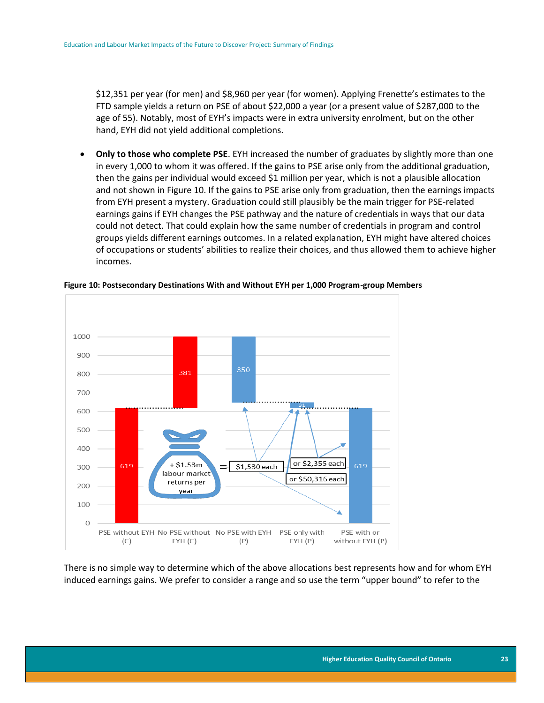\$12,351 per year (for men) and \$8,960 per year (for women). Applying Frenette's estimates to the FTD sample yields a return on PSE of about \$22,000 a year (or a present value of \$287,000 to the age of 55). Notably, most of EYH's impacts were in extra university enrolment, but on the other hand, EYH did not yield additional completions.

 **Only to those who complete PSE**. EYH increased the number of graduates by slightly more than one in every 1,000 to whom it was offered. If the gains to PSE arise only from the additional graduation, then the gains per individual would exceed \$1 million per year, which is not a plausible allocation and not shown in Figure 10. If the gains to PSE arise only from graduation, then the earnings impacts from EYH present a mystery. Graduation could still plausibly be the main trigger for PSE-related earnings gains if EYH changes the PSE pathway and the nature of credentials in ways that our data could not detect. That could explain how the same number of credentials in program and control groups yields different earnings outcomes. In a related explanation, EYH might have altered choices of occupations or students' abilities to realize their choices, and thus allowed them to achieve higher incomes.



**Figure 10: Postsecondary Destinations With and Without EYH per 1,000 Program-group Members**

There is no simple way to determine which of the above allocations best represents how and for whom EYH induced earnings gains. We prefer to consider a range and so use the term "upper bound" to refer to the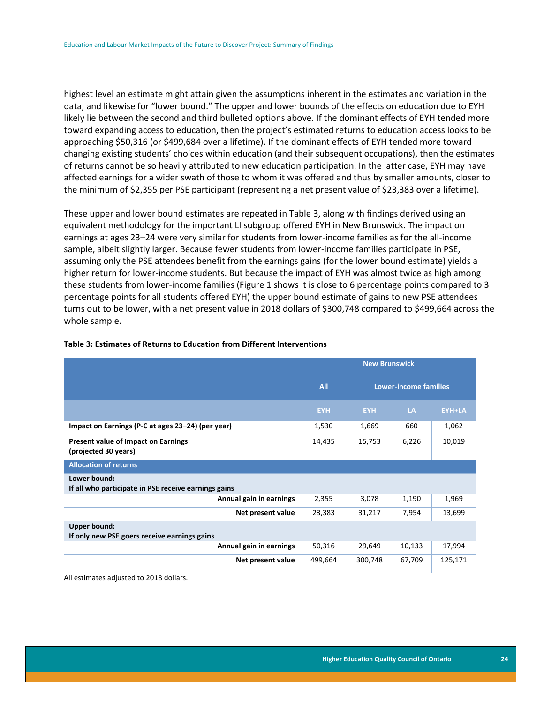highest level an estimate might attain given the assumptions inherent in the estimates and variation in the data, and likewise for "lower bound." The upper and lower bounds of the effects on education due to EYH likely lie between the second and third bulleted options above. If the dominant effects of EYH tended more toward expanding access to education, then the project's estimated returns to education access looks to be approaching \$50,316 (or \$499,684 over a lifetime). If the dominant effects of EYH tended more toward changing existing students' choices within education (and their subsequent occupations), then the estimates of returns cannot be so heavily attributed to new education participation. In the latter case, EYH may have affected earnings for a wider swath of those to whom it was offered and thus by smaller amounts, closer to the minimum of \$2,355 per PSE participant (representing a net present value of \$23,383 over a lifetime).

These upper and lower bound estimates are repeated in Table 3, along with findings derived using an equivalent methodology for the important LI subgroup offered EYH in New Brunswick. The impact on earnings at ages 23–24 were very similar for students from lower-income families as for the all-income sample, albeit slightly larger. Because fewer students from lower-income families participate in PSE, assuming only the PSE attendees benefit from the earnings gains (for the lower bound estimate) yields a higher return for lower-income students. But because the impact of EYH was almost twice as high among these students from lower-income families (Figure 1 shows it is close to 6 percentage points compared to 3 percentage points for all students offered EYH) the upper bound estimate of gains to new PSE attendees turns out to be lower, with a net present value in 2018 dollars of \$300,748 compared to \$499,664 across the whole sample.

|                                                                      | <b>New Brunswick</b> |                              |           |               |  |  |  |  |
|----------------------------------------------------------------------|----------------------|------------------------------|-----------|---------------|--|--|--|--|
|                                                                      | <b>All</b>           | <b>Lower-income families</b> |           |               |  |  |  |  |
|                                                                      | <b>EYH</b>           | <b>EYH</b>                   | <b>LA</b> | <b>EYH+LA</b> |  |  |  |  |
| Impact on Earnings (P-C at ages 23–24) (per year)                    | 1,530                | 1,669                        | 660       | 1,062         |  |  |  |  |
| <b>Present value of Impact on Earnings</b><br>(projected 30 years)   | 14,435               | 15,753                       | 6,226     | 10,019        |  |  |  |  |
| <b>Allocation of returns</b>                                         |                      |                              |           |               |  |  |  |  |
| Lower bound:<br>If all who participate in PSE receive earnings gains |                      |                              |           |               |  |  |  |  |
| Annual gain in earnings                                              | 2,355                | 3,078                        | 1,190     | 1,969         |  |  |  |  |
| Net present value                                                    | 23,383               | 31,217                       | 7,954     | 13,699        |  |  |  |  |
| <b>Upper bound:</b><br>If only new PSE goers receive earnings gains  |                      |                              |           |               |  |  |  |  |
| Annual gain in earnings                                              | 50,316               | 29,649                       | 10,133    | 17,994        |  |  |  |  |
| Net present value                                                    | 499,664              | 300,748                      | 67,709    | 125,171       |  |  |  |  |

#### **Table 3: Estimates of Returns to Education from Different Interventions**

All estimates adjusted to 2018 dollars.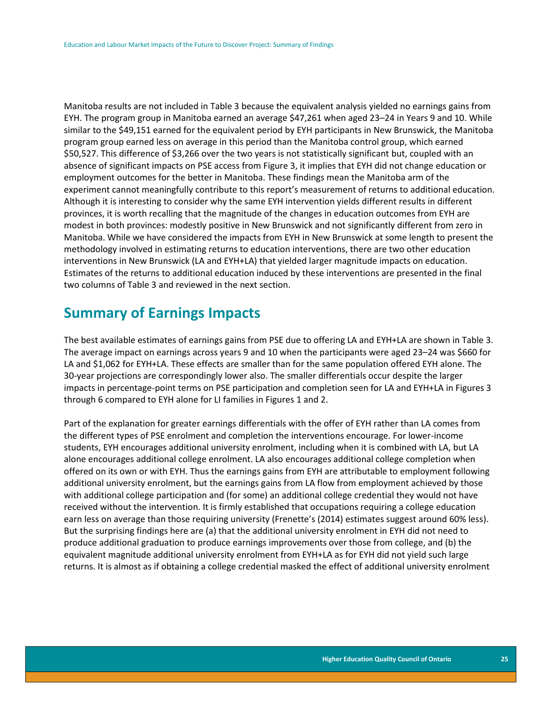Manitoba results are not included in Table 3 because the equivalent analysis yielded no earnings gains from EYH. The program group in Manitoba earned an average \$47,261 when aged 23–24 in Years 9 and 10. While similar to the \$49,151 earned for the equivalent period by EYH participants in New Brunswick, the Manitoba program group earned less on average in this period than the Manitoba control group, which earned \$50,527. This difference of \$3,266 over the two years is not statistically significant but, coupled with an absence of significant impacts on PSE access from Figure 3, it implies that EYH did not change education or employment outcomes for the better in Manitoba. These findings mean the Manitoba arm of the experiment cannot meaningfully contribute to this report's measurement of returns to additional education. Although it is interesting to consider why the same EYH intervention yields different results in different provinces, it is worth recalling that the magnitude of the changes in education outcomes from EYH are modest in both provinces: modestly positive in New Brunswick and not significantly different from zero in Manitoba. While we have considered the impacts from EYH in New Brunswick at some length to present the methodology involved in estimating returns to education interventions, there are two other education interventions in New Brunswick (LA and EYH+LA) that yielded larger magnitude impacts on education. Estimates of the returns to additional education induced by these interventions are presented in the final two columns of Table 3 and reviewed in the next section.

### **Summary of Earnings Impacts**

The best available estimates of earnings gains from PSE due to offering LA and EYH+LA are shown in Table 3. The average impact on earnings across years 9 and 10 when the participants were aged 23–24 was \$660 for LA and \$1,062 for EYH+LA. These effects are smaller than for the same population offered EYH alone. The 30-year projections are correspondingly lower also. The smaller differentials occur despite the larger impacts in percentage-point terms on PSE participation and completion seen for LA and EYH+LA in Figures 3 through 6 compared to EYH alone for LI families in Figures 1 and 2.

Part of the explanation for greater earnings differentials with the offer of EYH rather than LA comes from the different types of PSE enrolment and completion the interventions encourage. For lower-income students, EYH encourages additional university enrolment, including when it is combined with LA, but LA alone encourages additional college enrolment. LA also encourages additional college completion when offered on its own or with EYH. Thus the earnings gains from EYH are attributable to employment following additional university enrolment, but the earnings gains from LA flow from employment achieved by those with additional college participation and (for some) an additional college credential they would not have received without the intervention. It is firmly established that occupations requiring a college education earn less on average than those requiring university (Frenette's (2014) estimates suggest around 60% less). But the surprising findings here are (a) that the additional university enrolment in EYH did not need to produce additional graduation to produce earnings improvements over those from college, and (b) the equivalent magnitude additional university enrolment from EYH+LA as for EYH did not yield such large returns. It is almost as if obtaining a college credential masked the effect of additional university enrolment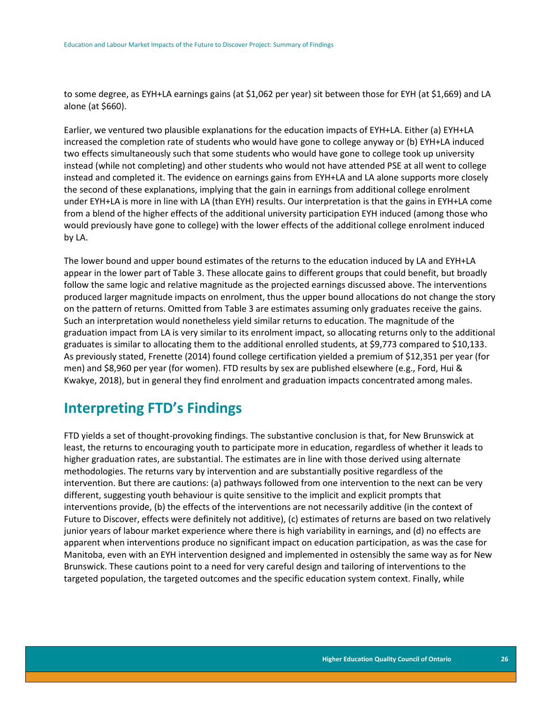to some degree, as EYH+LA earnings gains (at \$1,062 per year) sit between those for EYH (at \$1,669) and LA alone (at \$660).

Earlier, we ventured two plausible explanations for the education impacts of EYH+LA. Either (a) EYH+LA increased the completion rate of students who would have gone to college anyway or (b) EYH+LA induced two effects simultaneously such that some students who would have gone to college took up university instead (while not completing) and other students who would not have attended PSE at all went to college instead and completed it. The evidence on earnings gains from EYH+LA and LA alone supports more closely the second of these explanations, implying that the gain in earnings from additional college enrolment under EYH+LA is more in line with LA (than EYH) results. Our interpretation is that the gains in EYH+LA come from a blend of the higher effects of the additional university participation EYH induced (among those who would previously have gone to college) with the lower effects of the additional college enrolment induced by LA.

The lower bound and upper bound estimates of the returns to the education induced by LA and EYH+LA appear in the lower part of Table 3. These allocate gains to different groups that could benefit, but broadly follow the same logic and relative magnitude as the projected earnings discussed above. The interventions produced larger magnitude impacts on enrolment, thus the upper bound allocations do not change the story on the pattern of returns. Omitted from Table 3 are estimates assuming only graduates receive the gains. Such an interpretation would nonetheless yield similar returns to education. The magnitude of the graduation impact from LA is very similar to its enrolment impact, so allocating returns only to the additional graduates is similar to allocating them to the additional enrolled students, at \$9,773 compared to \$10,133. As previously stated, Frenette (2014) found college certification yielded a premium of \$12,351 per year (for men) and \$8,960 per year (for women). FTD results by sex are published elsewhere (e.g., Ford, Hui & Kwakye, 2018), but in general they find enrolment and graduation impacts concentrated among males.

# **Interpreting FTD's Findings**

FTD yields a set of thought-provoking findings. The substantive conclusion is that, for New Brunswick at least, the returns to encouraging youth to participate more in education, regardless of whether it leads to higher graduation rates, are substantial. The estimates are in line with those derived using alternate methodologies. The returns vary by intervention and are substantially positive regardless of the intervention. But there are cautions: (a) pathways followed from one intervention to the next can be very different, suggesting youth behaviour is quite sensitive to the implicit and explicit prompts that interventions provide, (b) the effects of the interventions are not necessarily additive (in the context of Future to Discover, effects were definitely not additive), (c) estimates of returns are based on two relatively junior years of labour market experience where there is high variability in earnings, and (d) no effects are apparent when interventions produce no significant impact on education participation, as was the case for Manitoba, even with an EYH intervention designed and implemented in ostensibly the same way as for New Brunswick. These cautions point to a need for very careful design and tailoring of interventions to the targeted population, the targeted outcomes and the specific education system context. Finally, while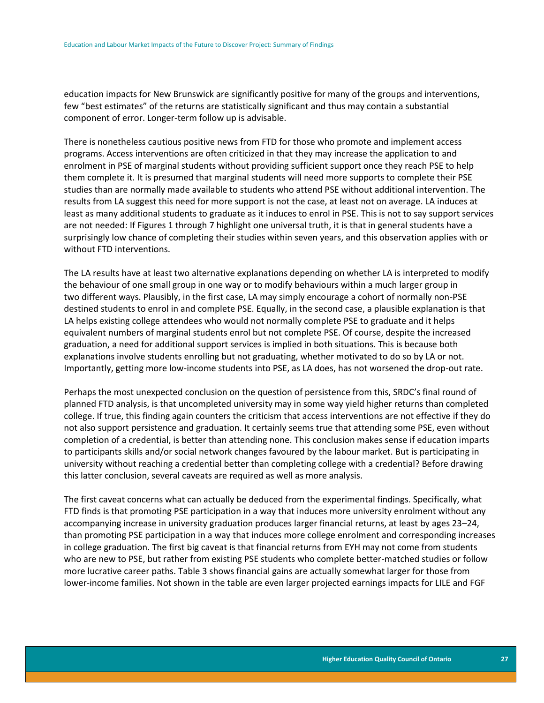education impacts for New Brunswick are significantly positive for many of the groups and interventions, few "best estimates" of the returns are statistically significant and thus may contain a substantial component of error. Longer-term follow up is advisable.

There is nonetheless cautious positive news from FTD for those who promote and implement access programs. Access interventions are often criticized in that they may increase the application to and enrolment in PSE of marginal students without providing sufficient support once they reach PSE to help them complete it. It is presumed that marginal students will need more supports to complete their PSE studies than are normally made available to students who attend PSE without additional intervention. The results from LA suggest this need for more support is not the case, at least not on average. LA induces at least as many additional students to graduate as it induces to enrol in PSE. This is not to say support services are not needed: If Figures 1 through 7 highlight one universal truth, it is that in general students have a surprisingly low chance of completing their studies within seven years, and this observation applies with or without FTD interventions.

The LA results have at least two alternative explanations depending on whether LA is interpreted to modify the behaviour of one small group in one way or to modify behaviours within a much larger group in two different ways. Plausibly, in the first case, LA may simply encourage a cohort of normally non-PSE destined students to enrol in and complete PSE. Equally, in the second case, a plausible explanation is that LA helps existing college attendees who would not normally complete PSE to graduate and it helps equivalent numbers of marginal students enrol but not complete PSE. Of course, despite the increased graduation, a need for additional support services is implied in both situations. This is because both explanations involve students enrolling but not graduating, whether motivated to do so by LA or not. Importantly, getting more low-income students into PSE, as LA does, has not worsened the drop-out rate.

Perhaps the most unexpected conclusion on the question of persistence from this, SRDC's final round of planned FTD analysis, is that uncompleted university may in some way yield higher returns than completed college. If true, this finding again counters the criticism that access interventions are not effective if they do not also support persistence and graduation. It certainly seems true that attending some PSE, even without completion of a credential, is better than attending none. This conclusion makes sense if education imparts to participants skills and/or social network changes favoured by the labour market. But is participating in university without reaching a credential better than completing college with a credential? Before drawing this latter conclusion, several caveats are required as well as more analysis.

The first caveat concerns what can actually be deduced from the experimental findings. Specifically, what FTD finds is that promoting PSE participation in a way that induces more university enrolment without any accompanying increase in university graduation produces larger financial returns, at least by ages 23–24, than promoting PSE participation in a way that induces more college enrolment and corresponding increases in college graduation. The first big caveat is that financial returns from EYH may not come from students who are new to PSE, but rather from existing PSE students who complete better-matched studies or follow more lucrative career paths. Table 3 shows financial gains are actually somewhat larger for those from lower-income families. Not shown in the table are even larger projected earnings impacts for LILE and FGF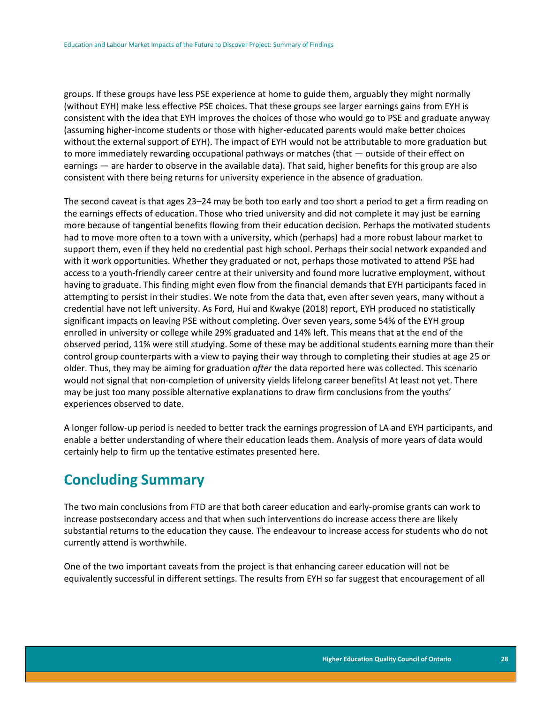groups. If these groups have less PSE experience at home to guide them, arguably they might normally (without EYH) make less effective PSE choices. That these groups see larger earnings gains from EYH is consistent with the idea that EYH improves the choices of those who would go to PSE and graduate anyway (assuming higher-income students or those with higher-educated parents would make better choices without the external support of EYH). The impact of EYH would not be attributable to more graduation but to more immediately rewarding occupational pathways or matches (that — outside of their effect on earnings — are harder to observe in the available data). That said, higher benefits for this group are also consistent with there being returns for university experience in the absence of graduation.

The second caveat is that ages 23–24 may be both too early and too short a period to get a firm reading on the earnings effects of education. Those who tried university and did not complete it may just be earning more because of tangential benefits flowing from their education decision. Perhaps the motivated students had to move more often to a town with a university, which (perhaps) had a more robust labour market to support them, even if they held no credential past high school. Perhaps their social network expanded and with it work opportunities. Whether they graduated or not, perhaps those motivated to attend PSE had access to a youth-friendly career centre at their university and found more lucrative employment, without having to graduate. This finding might even flow from the financial demands that EYH participants faced in attempting to persist in their studies. We note from the data that, even after seven years, many without a credential have not left university. As Ford, Hui and Kwakye (2018) report, EYH produced no statistically significant impacts on leaving PSE without completing. Over seven years, some 54% of the EYH group enrolled in university or college while 29% graduated and 14% left. This means that at the end of the observed period, 11% were still studying. Some of these may be additional students earning more than their control group counterparts with a view to paying their way through to completing their studies at age 25 or older. Thus, they may be aiming for graduation *after* the data reported here was collected. This scenario would not signal that non-completion of university yields lifelong career benefits! At least not yet. There may be just too many possible alternative explanations to draw firm conclusions from the youths' experiences observed to date.

A longer follow-up period is needed to better track the earnings progression of LA and EYH participants, and enable a better understanding of where their education leads them. Analysis of more years of data would certainly help to firm up the tentative estimates presented here.

# **Concluding Summary**

The two main conclusions from FTD are that both career education and early-promise grants can work to increase postsecondary access and that when such interventions do increase access there are likely substantial returns to the education they cause. The endeavour to increase access for students who do not currently attend is worthwhile.

One of the two important caveats from the project is that enhancing career education will not be equivalently successful in different settings. The results from EYH so far suggest that encouragement of all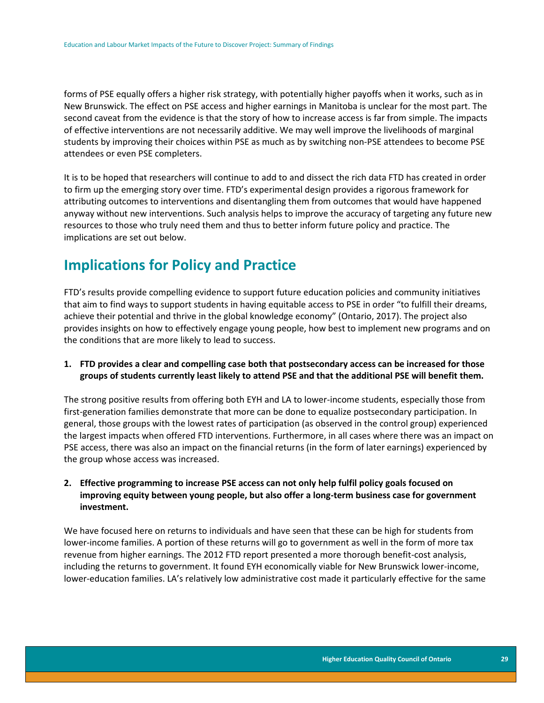forms of PSE equally offers a higher risk strategy, with potentially higher payoffs when it works, such as in New Brunswick. The effect on PSE access and higher earnings in Manitoba is unclear for the most part. The second caveat from the evidence is that the story of how to increase access is far from simple. The impacts of effective interventions are not necessarily additive. We may well improve the livelihoods of marginal students by improving their choices within PSE as much as by switching non-PSE attendees to become PSE attendees or even PSE completers.

It is to be hoped that researchers will continue to add to and dissect the rich data FTD has created in order to firm up the emerging story over time. FTD's experimental design provides a rigorous framework for attributing outcomes to interventions and disentangling them from outcomes that would have happened anyway without new interventions. Such analysis helps to improve the accuracy of targeting any future new resources to those who truly need them and thus to better inform future policy and practice. The implications are set out below.

## **Implications for Policy and Practice**

FTD's results provide compelling evidence to support future education policies and community initiatives that aim to find ways to support students in having equitable access to PSE in order "to fulfill their dreams, achieve their potential and thrive in the global knowledge economy" (Ontario, 2017). The project also provides insights on how to effectively engage young people, how best to implement new programs and on the conditions that are more likely to lead to success.

### **1. FTD provides a clear and compelling case both that postsecondary access can be increased for those groups of students currently least likely to attend PSE and that the additional PSE will benefit them.**

The strong positive results from offering both EYH and LA to lower-income students, especially those from first-generation families demonstrate that more can be done to equalize postsecondary participation. In general, those groups with the lowest rates of participation (as observed in the control group) experienced the largest impacts when offered FTD interventions. Furthermore, in all cases where there was an impact on PSE access, there was also an impact on the financial returns (in the form of later earnings) experienced by the group whose access was increased.

### **2. Effective programming to increase PSE access can not only help fulfil policy goals focused on improving equity between young people, but also offer a long-term business case for government investment.**

We have focused here on returns to individuals and have seen that these can be high for students from lower-income families. A portion of these returns will go to government as well in the form of more tax revenue from higher earnings. The 2012 FTD report presented a more thorough benefit-cost analysis, including the returns to government. It found EYH economically viable for New Brunswick lower-income, lower-education families. LA's relatively low administrative cost made it particularly effective for the same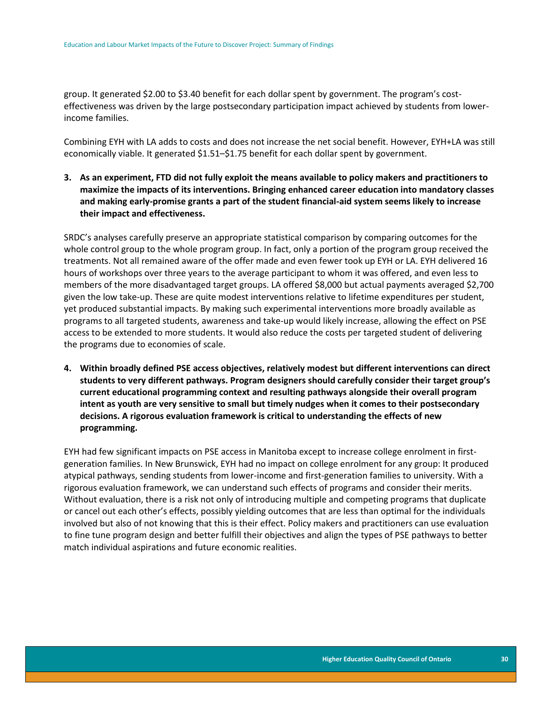group. It generated \$2.00 to \$3.40 benefit for each dollar spent by government. The program's costeffectiveness was driven by the large postsecondary participation impact achieved by students from lowerincome families.

Combining EYH with LA adds to costs and does not increase the net social benefit. However, EYH+LA was still economically viable. It generated \$1.51–\$1.75 benefit for each dollar spent by government.

**3. As an experiment, FTD did not fully exploit the means available to policy makers and practitioners to maximize the impacts of its interventions. Bringing enhanced career education into mandatory classes and making early-promise grants a part of the student financial-aid system seems likely to increase their impact and effectiveness.**

SRDC's analyses carefully preserve an appropriate statistical comparison by comparing outcomes for the whole control group to the whole program group. In fact, only a portion of the program group received the treatments. Not all remained aware of the offer made and even fewer took up EYH or LA. EYH delivered 16 hours of workshops over three years to the average participant to whom it was offered, and even less to members of the more disadvantaged target groups. LA offered \$8,000 but actual payments averaged \$2,700 given the low take-up. These are quite modest interventions relative to lifetime expenditures per student, yet produced substantial impacts. By making such experimental interventions more broadly available as programs to all targeted students, awareness and take-up would likely increase, allowing the effect on PSE access to be extended to more students. It would also reduce the costs per targeted student of delivering the programs due to economies of scale.

**4. Within broadly defined PSE access objectives, relatively modest but different interventions can direct students to very different pathways. Program designers should carefully consider their target group's current educational programming context and resulting pathways alongside their overall program intent as youth are very sensitive to small but timely nudges when it comes to their postsecondary decisions. A rigorous evaluation framework is critical to understanding the effects of new programming.** 

EYH had few significant impacts on PSE access in Manitoba except to increase college enrolment in firstgeneration families. In New Brunswick, EYH had no impact on college enrolment for any group: It produced atypical pathways, sending students from lower-income and first-generation families to university. With a rigorous evaluation framework, we can understand such effects of programs and consider their merits. Without evaluation, there is a risk not only of introducing multiple and competing programs that duplicate or cancel out each other's effects, possibly yielding outcomes that are less than optimal for the individuals involved but also of not knowing that this is their effect. Policy makers and practitioners can use evaluation to fine tune program design and better fulfill their objectives and align the types of PSE pathways to better match individual aspirations and future economic realities.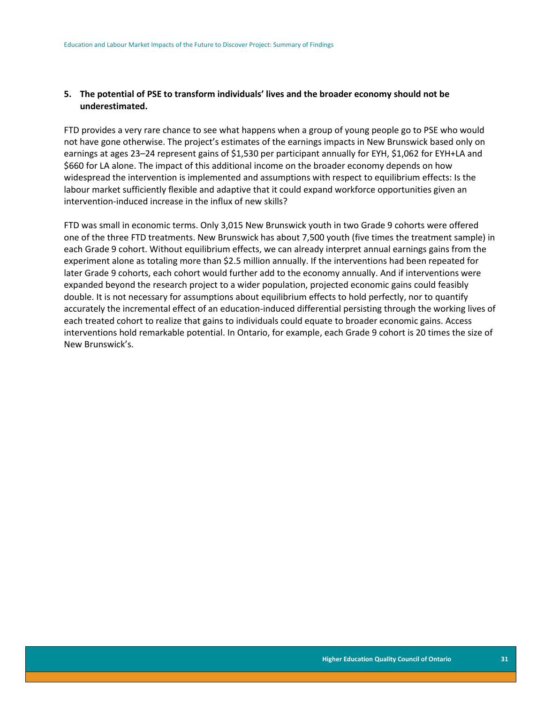### **5. The potential of PSE to transform individuals' lives and the broader economy should not be underestimated.**

FTD provides a very rare chance to see what happens when a group of young people go to PSE who would not have gone otherwise. The project's estimates of the earnings impacts in New Brunswick based only on earnings at ages 23–24 represent gains of \$1,530 per participant annually for EYH, \$1,062 for EYH+LA and \$660 for LA alone. The impact of this additional income on the broader economy depends on how widespread the intervention is implemented and assumptions with respect to equilibrium effects: Is the labour market sufficiently flexible and adaptive that it could expand workforce opportunities given an intervention-induced increase in the influx of new skills?

FTD was small in economic terms. Only 3,015 New Brunswick youth in two Grade 9 cohorts were offered one of the three FTD treatments. New Brunswick has about 7,500 youth (five times the treatment sample) in each Grade 9 cohort. Without equilibrium effects, we can already interpret annual earnings gains from the experiment alone as totaling more than \$2.5 million annually. If the interventions had been repeated for later Grade 9 cohorts, each cohort would further add to the economy annually. And if interventions were expanded beyond the research project to a wider population, projected economic gains could feasibly double. It is not necessary for assumptions about equilibrium effects to hold perfectly, nor to quantify accurately the incremental effect of an education-induced differential persisting through the working lives of each treated cohort to realize that gains to individuals could equate to broader economic gains. Access interventions hold remarkable potential. In Ontario, for example, each Grade 9 cohort is 20 times the size of New Brunswick's.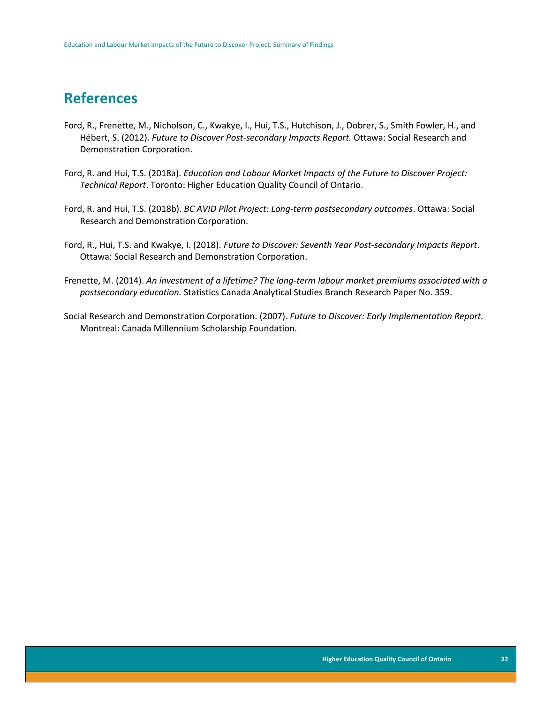### **References**

- Ford, R., Frenette, M., Nicholson, C., Kwakye, I., Hui, T.S., Hutchison, J., Dobrer, S., Smith Fowler, H., and Hébert, S. (2012). *Future to Discover Post-secondary Impacts Report.* Ottawa: Social Research and Demonstration Corporation.
- Ford, R. and Hui, T.S. (2018a). *Education and Labour Market Impacts of the Future to Discover Project: Technical Report*. Toronto: Higher Education Quality Council of Ontario.
- Ford, R. and Hui, T.S. (2018b). *BC AVID Pilot Project: Long-term postsecondary outcomes*. Ottawa: Social Research and Demonstration Corporation.
- Ford, R., Hui, T.S. and Kwakye, I. (2018). *Future to Discover: Seventh Year Post-secondary Impacts Report*. Ottawa: Social Research and Demonstration Corporation.
- Frenette, M. (2014). *An investment of a lifetime? The long-term labour market premiums associated with a postsecondary education.* Statistics Canada Analytical Studies Branch Research Paper No. 359.
- Social Research and Demonstration Corporation. (2007). *Future to Discover: Early Implementation Report.* Montreal: Canada Millennium Scholarship Foundation.